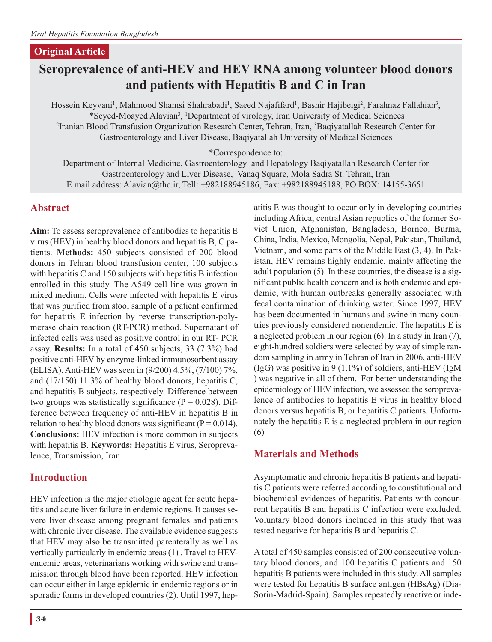#### **Original Article**

# **Seroprevalence of anti-HEV and HEV RNA among volunteer blood donors and patients with Hepatitis B and C in Iran**

Hossein Keyvani<sup>1</sup>, Mahmood Shamsi Shahrabadi<sup>1</sup>, Saeed Najafifard<sup>1</sup>, Bashir Hajibeigi<sup>2</sup>, Farahnaz Fallahian<sup>3</sup>, \*Seyed-Moayed Alavian3 , 1 Department of virology, Iran University of Medical Sciences 2 Iranian Blood Transfusion Organization Research Center, Tehran, Iran, 3 Baqiyatallah Research Center for Gastroenterology and Liver Disease, Baqiyatallah University of Medical Sciences

\*Correspondence to:

Department of Internal Medicine, Gastroenterology and Hepatology Baqiyatallah Research Center for Gastroenterology and Liver Disease, Vanaq Square, Mola Sadra St. Tehran, Iran E mail address: Alavian@thc.ir, Tell: +982188945186, Fax: +982188945188, PO BOX: 14155-3651

#### **Abstract**

**Aim:** To assess seroprevalence of antibodies to hepatitis E virus (HEV) in healthy blood donors and hepatitis B, C patients. **Methods:** 450 subjects consisted of 200 blood donors in Tehran blood transfusion center, 100 subjects with hepatitis C and 150 subjects with hepatitis B infection enrolled in this study. The A549 cell line was grown in mixed medium. Cells were infected with hepatitis E virus that was purified from stool sample of a patient confirmed for hepatitis E infection by reverse transcription-polymerase chain reaction (RT-PCR) method. Supernatant of infected cells was used as positive control in our RT- PCR assay. **Results:** In a total of 450 subjects, 33 (7.3%) had positive anti-HEV by enzyme-linked immunosorbent assay (ELISA). Anti-HEV was seen in (9/200) 4.5%, (7/100) 7%, and (17/150) 11.3% of healthy blood donors, hepatitis C, and hepatitis B subjects, respectively. Difference between two groups was statistically significance ( $P = 0.028$ ). Difference between frequency of anti-HEV in hepatitis B in relation to healthy blood donors was significant ( $P = 0.014$ ). **Conclusions:** HEV infection is more common in subjects with hepatitis B. **Keywords:** Hepatitis E virus, Seroprevalence, Transmission, Iran

### **Introduction**

HEV infection is the major etiologic agent for acute hepatitis and acute liver failure in endemic regions. It causes severe liver disease among pregnant females and patients with chronic liver disease. The available evidence suggests that HEV may also be transmitted parenterally as well as vertically particularly in endemic areas (1) . Travel to HEVendemic areas, veterinarians working with swine and transmission through blood have been reported. HEV infection can occur either in large epidemic in endemic regions or in sporadic forms in developed countries (2). Until 1997, hepatitis E was thought to occur only in developing countries including Africa, central Asian republics of the former Soviet Union, Afghanistan, Bangladesh, Borneo, Burma, China, India, Mexico, Mongolia, Nepal, Pakistan, Thailand, Vietnam, and some parts of the Middle East (3, 4). In Pakistan, HEV remains highly endemic, mainly affecting the adult population (5). In these countries, the disease is a significant public health concern and is both endemic and epidemic, with human outbreaks generally associated with fecal contamination of drinking water. Since 1997, HEV has been documented in humans and swine in many countries previously considered nonendemic. The hepatitis E is a neglected problem in our region (6). In a study in Iran (7), eight-hundred soldiers were selected by way of simple random sampling in army in Tehran of Iran in 2006, anti-HEV (IgG) was positive in 9 (1.1%) of soldiers, anti-HEV (IgM ) was negative in all of them. For better understanding the epidemiology of HEV infection, we assessed the seroprevalence of antibodies to hepatitis E virus in healthy blood donors versus hepatitis B, or hepatitis C patients. Unfortunately the hepatitis E is a neglected problem in our region (6)

### **Materials and Methods**

Asymptomatic and chronic hepatitis B patients and hepatitis C patients were referred according to constitutional and biochemical evidences of hepatitis. Patients with concurrent hepatitis B and hepatitis C infection were excluded. Voluntary blood donors included in this study that was tested negative for hepatitis B and hepatitis C.

A total of 450 samples consisted of 200 consecutive voluntary blood donors, and 100 hepatitis C patients and 150 hepatitis B patients were included in this study. All samples were tested for hepatitis B surface antigen (HBsAg) (Dia-Sorin-Madrid-Spain). Samples repeatedly reactive or inde-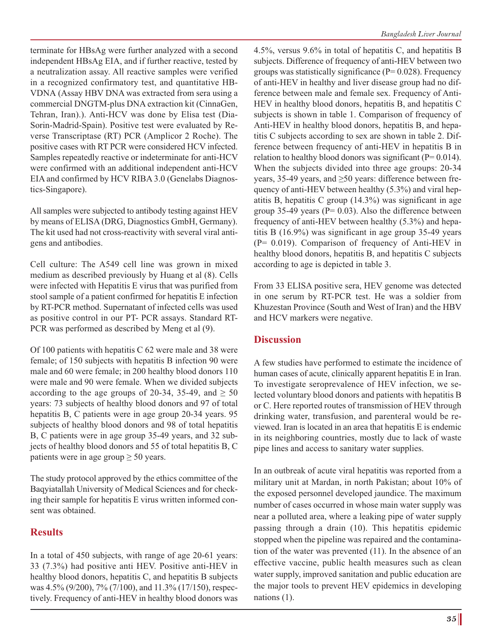terminate for HBsAg were further analyzed with a second independent HBsAg EIA, and if further reactive, tested by a neutralization assay. All reactive samples were verified in a recognized confirmatory test, and quantitative HB-VDNA (Assay HBV DNA was extracted from sera using a commercial DNGTM-plus DNA extraction kit (CinnaGen, Tehran, Iran).). Anti-HCV was done by Elisa test (Dia-Sorin-Madrid-Spain). Positive test were evaluated by Reverse Transcriptase (RT) PCR (Amplicor 2 Roche). The positive cases with RT PCR were considered HCV infected. Samples repeatedly reactive or indeterminate for anti-HCV were confirmed with an additional independent anti-HCV EIA and confirmed by HCV RIBA 3.0 (Genelabs Diagnostics-Singapore).

All samples were subjected to antibody testing against HEV by means of ELISA (DRG, Diagnostics GmbH, Germany). The kit used had not cross-reactivity with several viral antigens and antibodies.

Cell culture: The A549 cell line was grown in mixed medium as described previously by Huang et al (8). Cells were infected with Hepatitis E virus that was purified from stool sample of a patient confirmed for hepatitis E infection by RT-PCR method. Supernatant of infected cells was used as positive control in our PT- PCR assays. Standard RT-PCR was performed as described by Meng et al (9).

Of 100 patients with hepatitis C 62 were male and 38 were female; of 150 subjects with hepatitis B infection 90 were male and 60 were female; in 200 healthy blood donors 110 were male and 90 were female. When we divided subjects according to the age groups of 20-34, 35-49, and  $\geq 50$ years: 73 subjects of healthy blood donors and 97 of total hepatitis B, C patients were in age group 20-34 years. 95 subjects of healthy blood donors and 98 of total hepatitis B, C patients were in age group 35-49 years, and 32 subjects of healthy blood donors and 55 of total hepatitis B, C patients were in age group  $\geq 50$  years.

The study protocol approved by the ethics committee of the Baqyiatallah University of Medical Sciences and for checking their sample for hepatitis E virus written informed consent was obtained.

### **Results**

In a total of 450 subjects, with range of age 20-61 years: 33 (7.3%) had positive anti HEV. Positive anti-HEV in healthy blood donors, hepatitis C, and hepatitis B subjects was 4.5% (9/200), 7% (7/100), and 11.3% (17/150), respectively. Frequency of anti-HEV in healthy blood donors was 4.5%, versus 9.6% in total of hepatitis C, and hepatitis B subjects. Difference of frequency of anti-HEV between two groups was statistically significance ( $P= 0.028$ ). Frequency of anti-HEV in healthy and liver disease group had no difference between male and female sex. Frequency of Anti-HEV in healthy blood donors, hepatitis B, and hepatitis C subjects is shown in table 1. Comparison of frequency of Anti-HEV in healthy blood donors, hepatitis B, and hepatitis C subjects according to sex are shown in table 2. Difference between frequency of anti-HEV in hepatitis B in relation to healthy blood donors was significant ( $P= 0.014$ ). When the subjects divided into three age groups: 20-34 years, 35-49 years, and ≥50 years: difference between frequency of anti-HEV between healthy (5.3%) and viral hepatitis B, hepatitis C group (14.3%) was significant in age group 35-49 years ( $P = 0.03$ ). Also the difference between frequency of anti-HEV between healthy (5.3%) and hepatitis B (16.9%) was significant in age group 35-49 years (P= 0.019). Comparison of frequency of Anti-HEV in healthy blood donors, hepatitis B, and hepatitis C subjects according to age is depicted in table 3.

From 33 ELISA positive sera, HEV genome was detected in one serum by RT-PCR test. He was a soldier from Khuzestan Province (South and West of Iran) and the HBV and HCV markers were negative.

### **Discussion**

A few studies have performed to estimate the incidence of human cases of acute, clinically apparent hepatitis E in Iran. To investigate seroprevalence of HEV infection, we selected voluntary blood donors and patients with hepatitis B or C. Here reported routes of transmission of HEV through drinking water, transfusion, and parenteral would be reviewed. Iran is located in an area that hepatitis E is endemic in its neighboring countries, mostly due to lack of waste pipe lines and access to sanitary water supplies.

In an outbreak of acute viral hepatitis was reported from a military unit at Mardan, in north Pakistan; about 10% of the exposed personnel developed jaundice. The maximum number of cases occurred in whose main water supply was near a polluted area, where a leaking pipe of water supply passing through a drain (10). This hepatitis epidemic stopped when the pipeline was repaired and the contamination of the water was prevented (11). In the absence of an effective vaccine, public health measures such as clean water supply, improved sanitation and public education are the major tools to prevent HEV epidemics in developing nations (1).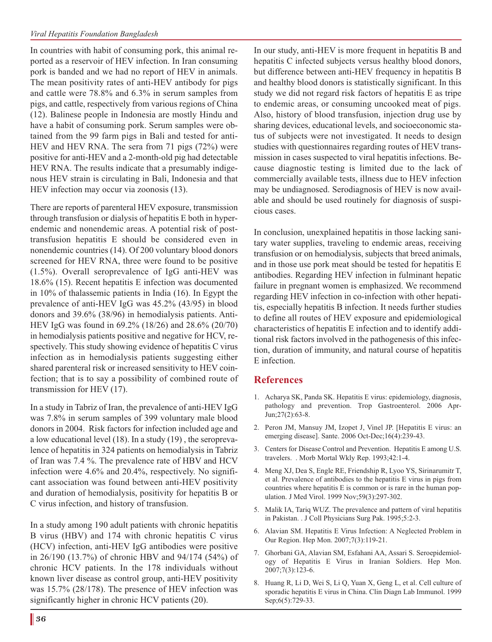In countries with habit of consuming pork, this animal reported as a reservoir of HEV infection. In Iran consuming pork is banded and we had no report of HEV in animals. The mean positivity rates of anti-HEV antibody for pigs and cattle were 78.8% and 6.3% in serum samples from pigs, and cattle, respectively from various regions of China (12). Balinese people in Indonesia are mostly Hindu and have a habit of consuming pork. Serum samples were obtained from the 99 farm pigs in Bali and tested for anti-HEV and HEV RNA. The sera from 71 pigs (72%) were positive for anti-HEV and a 2-month-old pig had detectable HEV RNA. The results indicate that a presumably indigenous HEV strain is circulating in Bali, Indonesia and that HEV infection may occur via zoonosis (13).

There are reports of parenteral HEV exposure, transmission through transfusion or dialysis of hepatitis E both in hyperendemic and nonendemic areas. A potential risk of posttransfusion hepatitis E should be considered even in nonendemic countries (14). Of 200 voluntary blood donors screened for HEV RNA, three were found to be positive (1.5%). Overall seroprevalence of IgG anti-HEV was 18.6% (15). Recent hepatitis E infection was documented in 10% of thalassemic patients in India (16). In Egypt the prevalence of anti-HEV IgG was 45.2% (43/95) in blood donors and 39.6% (38/96) in hemodialysis patients. Anti-HEV IgG was found in 69.2% (18/26) and 28.6% (20/70) in hemodialysis patients positive and negative for HCV, respectively. This study showing evidence of hepatitis C virus infection as in hemodialysis patients suggesting either shared parenteral risk or increased sensitivity to HEV coinfection; that is to say a possibility of combined route of transmission for HEV (17).

In a study in Tabriz of Iran, the prevalence of anti-HEV IgG was 7.8% in serum samples of 399 voluntary male blood donors in 2004. Risk factors for infection included age and a low educational level (18). In a study (19) , the seroprevalence of hepatitis in 324 patients on hemodialysis in Tabriz of Iran was 7.4 %. The prevalence rate of HBV and HCV infection were 4.6% and 20.4%, respectively. No significant association was found between anti-HEV positivity and duration of hemodialysis, positivity for hepatitis B or C virus infection, and history of transfusion.

In a study among 190 adult patients with chronic hepatitis B virus (HBV) and 174 with chronic hepatitis C virus (HCV) infection, anti-HEV IgG antibodies were positive in 26/190 (13.7%) of chronic HBV and 94/174 (54%) of chronic HCV patients. In the 178 individuals without known liver disease as control group, anti-HEV positivity was 15.7% (28/178). The presence of HEV infection was significantly higher in chronic HCV patients (20).

In our study, anti-HEV is more frequent in hepatitis B and hepatitis C infected subjects versus healthy blood donors, but difference between anti-HEV frequency in hepatitis B and healthy blood donors is statistically significant. In this study we did not regard risk factors of hepatitis E as tripe to endemic areas, or consuming uncooked meat of pigs. Also, history of blood transfusion, injection drug use by sharing devices, educational levels, and socioeconomic status of subjects were not investigated. It needs to design studies with questionnaires regarding routes of HEV transmission in cases suspected to viral hepatitis infections. Because diagnostic testing is limited due to the lack of commercially available tests, illness due to HEV infection may be undiagnosed. Serodiagnosis of HEV is now available and should be used routinely for diagnosis of suspicious cases.

In conclusion, unexplained hepatitis in those lacking sanitary water supplies, traveling to endemic areas, receiving transfusion or on hemodialysis, subjects that breed animals, and in those use pork meat should be tested for hepatitis E antibodies. Regarding HEV infection in fulminant hepatic failure in pregnant women is emphasized. We recommend regarding HEV infection in co-infection with other hepatitis, especially hepatitis B infection. It needs further studies to define all routes of HEV exposure and epidemiological characteristics of hepatitis E infection and to identify additional risk factors involved in the pathogenesis of this infection, duration of immunity, and natural course of hepatitis E infection.

## **References**

- 1. Acharya SK, Panda SK. Hepatitis E virus: epidemiology, diagnosis, pathology and prevention. Trop Gastroenterol. 2006 Apr-Jun;27(2):63-8.
- 2. Peron JM, Mansuy JM, Izopet J, Vinel JP. [Hepatitis E virus: an emerging disease]. Sante. 2006 Oct-Dec;16(4):239-43.
- 3. Centers for Disease Control and Prevention. Hepatitis E among U.S. travelers. . Morb Mortal Wkly Rep. 1993;42:1-4.
- 4. Meng XJ, Dea S, Engle RE, Friendship R, Lyoo YS, Sirinarumitr T, et al. Prevalence of antibodies to the hepatitis E virus in pigs from countries where hepatitis E is common or is rare in the human population. J Med Virol. 1999 Nov;59(3):297-302.
- 5. Malik IA, Tariq WUZ. The prevalence and pattern of viral hepatitis in Pakistan. . J Coll Physicians Surg Pak. 1995;5:2-3.
- 6. Alavian SM. Hepatitis E Virus Infection: A Neglected Problem in Our Region. Hep Mon. 2007;7(3):119-21.
- 7. Ghorbani GA, Alavian SM, Esfahani AA, Assari S. Seroepidemiology of Hepatitis E Virus in Iranian Soldiers. Hep Mon. 2007;7(3):123-6.
- 8. Huang R, Li D, Wei S, Li Q, Yuan X, Geng L, et al. Cell culture of sporadic hepatitis E virus in China. Clin Diagn Lab Immunol. 1999 Sep;6(5):729-33.